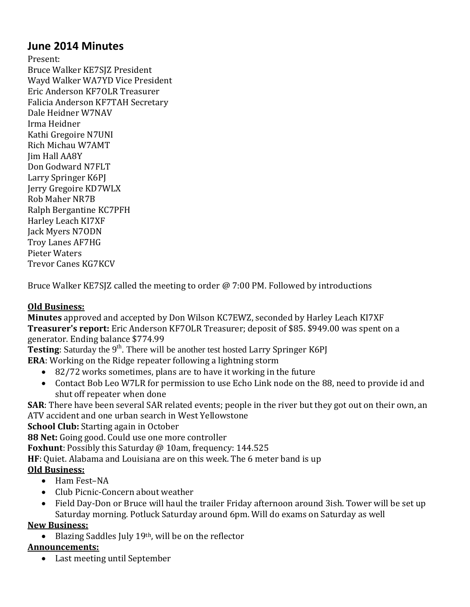# **June 2014 Minutes**

Present: Bruce Walker KE7SJZ President Wayd Walker WA7YD Vice President Eric Anderson KF7OLR Treasurer Falicia Anderson KF7TAH Secretary Dale Heidner W7NAV Irma Heidner Kathi Gregoire N7UNI Rich Michau W7AMT Jim Hall AA8Y Don Godward N7FLT Larry Springer K6PJ Jerry Gregoire KD7WLX Rob Maher NR7B Ralph Bergantine KC7PFH Harley Leach KI7XF Jack Myers N7ODN Troy Lanes AF7HG Pieter Waters Trevor Canes KG7KCV

Bruce Walker KE7SJZ called the meeting to order @ 7:00 PM. Followed by introductions

## **Old Business:**

**Minutes** approved and accepted by Don Wilson KC7EWZ, seconded by Harley Leach KI7XF **Treasurer's report:** Eric Anderson KF7OLR Treasurer; deposit of \$85. \$949.00 was spent on a generator. Ending balance \$774.99

**Testing**: Saturday the 9<sup>th</sup>. There will be another test hosted Larry Springer K6PJ **ERA**: Working on the Ridge repeater following a lightning storm

- 82/72 works sometimes, plans are to have it working in the future
- Contact Bob Leo W7LR for permission to use Echo Link node on the 88, need to provide id and shut off repeater when done

**SAR**: There have been several SAR related events; people in the river but they got out on their own, an ATV accident and one urban search in West Yellowstone

**School Club:** Starting again in October

**88 Net:** Going good. Could use one more controller

**Foxhunt**: Possibly this Saturday @ 10am, frequency: 144.525

**HF**: Quiet. Alabama and Louisiana are on this week. The 6 meter band is up

## **Old Business:**

- Ham Fest-NA
- Club Picnic-Concern about weather
- Field Day-Don or Bruce will haul the trailer Friday afternoon around 3ish. Tower will be set up Saturday morning. Potluck Saturday around 6pm. Will do exams on Saturday as well

#### **New Business:**

 $\bullet$  Blazing Saddles July 19<sup>th</sup>, will be on the reflector

## **Announcements:**

Last meeting until September